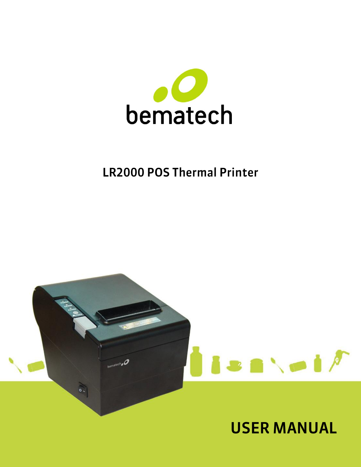

# LR2000 POS Thermal Printer

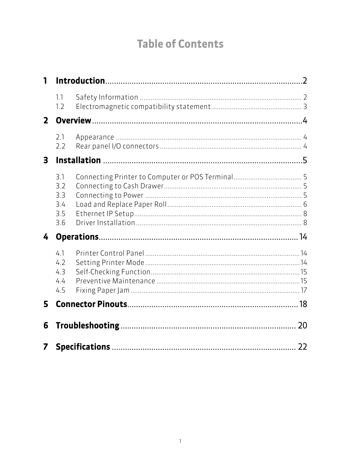# **Table of Contents**

| 1            |                                        |  |  |
|--------------|----------------------------------------|--|--|
|              | 1.1<br>1.2                             |  |  |
| $\mathbf{2}$ |                                        |  |  |
|              | 2.1<br>2.2                             |  |  |
| 3            |                                        |  |  |
|              | 3.1<br>3.2<br>3.3<br>3.4<br>3.5<br>3.6 |  |  |
| 4            |                                        |  |  |
|              | 4.1<br>4.2<br>4.3<br>4.4<br>4.5        |  |  |
| 5            |                                        |  |  |
| 6            | 20                                     |  |  |
| 7            | 22                                     |  |  |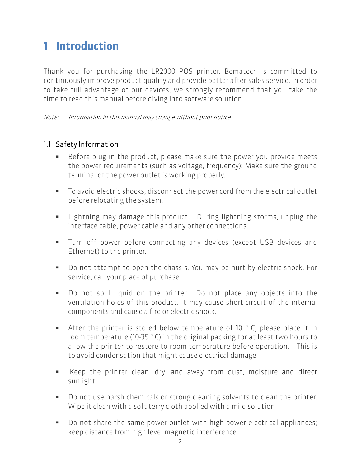## <span id="page-2-0"></span>1 Introduction

Thank you for purchasing the LR2000 POS printer. Bematech is committed to continuously improve product quality and provide better after-sales service. In order to take full advantage of our devices, we strongly recommend that you take the time to read this manual before diving into software solution.

Note: Information in this manual may change without prior notice.

### <span id="page-2-1"></span>1.1 Safety Information

- Before plug in the product, please make sure the power you provide meets the power requirements (such as voltage, frequency); Make sure the ground terminal of the power outlet is working properly.
- To avoid electric shocks, disconnect the power cord from the electrical outlet before relocating the system.
- Lightning may damage this product. During lightning storms, unplug the interface cable, power cable and any other connections.
- Turn off power before connecting any devices (except USB devices and Ethernet) to the printer.
- Do not attempt to open the chassis. You may be hurt by electric shock. For service, call your place of purchase.
- Do not spill liquid on the printer. Do not place any objects into the ventilation holes of this product. It may cause short-circuit of the internal components and cause a fire or electric shock.
- After the printer is stored below temperature of 10 °C, please place it in room temperature (10-35 ° C) in the original packing for at least two hours to allow the printer to restore to room temperature before operation. This is to avoid condensation that might cause electrical damage.
- Keep the printer clean, dry, and away from dust, moisture and direct sunlight.
- Do not use harsh chemicals or strong cleaning solvents to clean the printer. Wipe it clean with a soft terry cloth applied with a mild solution
- Do not share the same power outlet with high-power electrical appliances; keep distance from high level magnetic interference.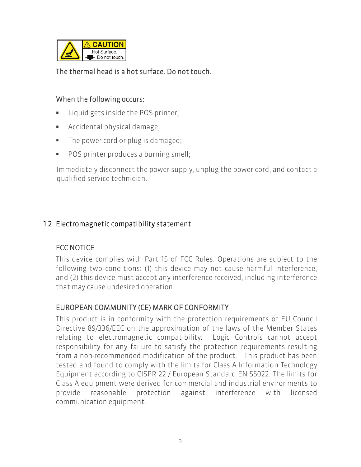

### The thermal head is a hot surface. Do not touch.

#### When the following occurs:

- Liquid gets inside the POS printer;
- Accidental physical damage;
- The power cord or plug is damaged;
- **POS printer produces a burning smell;**

Immediately disconnect the power supply, unplug the power cord, and contact a qualified service technician.

### <span id="page-3-0"></span>1.2 Electromagnetic compatibility statement

## FCC NOTICE

This device complies with Part 15 of FCC Rules. Operations are subject to the following two conditions: (1) this device may not cause harmful interference, and (2) this device must accept any interference received, including interference that may cause undesired operation.

### EUROPEAN COMMUNITY (CE) MARK OF CONFORMITY

This product is in conformity with the protection requirements of EU Council Directive 89/336/EEC on the approximation of the laws of the Member States relating to electromagnetic compatibility. Logic Controls cannot accept responsibility for any failure to satisfy the protection requirements resulting from a non-recommended modification of the product. This product has been tested and found to comply with the limits for Class A Information Technology Equipment according to CISPR 22 / European Standard EN 55022. The limits for Class A equipment were derived for commercial and industrial environments to provide reasonable protection against interference with licensed communication equipment.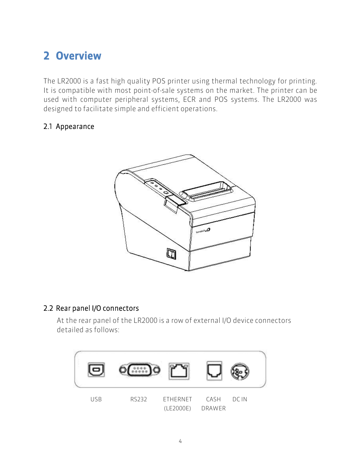# <span id="page-4-0"></span>2 Overview

The LR2000 is a fast high quality POS printer using thermal technology for printing. It is compatible with most point-of-sale systems on the market. The printer can be used with computer peripheral systems, ECR and POS systems. The LR2000 was designed to facilitate simple and efficient operations.

### <span id="page-4-1"></span>2.1 Appearance



### <span id="page-4-2"></span>2.2 Rear panel I/O connectors

At the rear panel of the LR2000 is a row of external I/O device connectors detailed as follows:

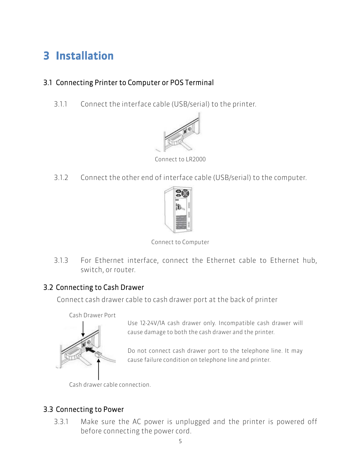# <span id="page-5-0"></span>3 Installation

## <span id="page-5-1"></span>3.1 Connecting Printer to Computer or POS Terminal

3.1.1 Connect the interface cable (USB/serial) to the printer.



Connect to LR2000

3.1.2 Connect the other end of interface cable (USB/serial) to the computer.



Connect to Computer

3.1.3 For Ethernet interface, connect the Ethernet cable to Ethernet hub, switch, or router.

## <span id="page-5-2"></span>3.2 Connecting to Cash Drawer

Connect cash drawer cable to cash drawer port at the back of printer



Use 12-24V/1A cash drawer only. Incompatible cash drawer will cause damage to both the cash drawer and the printer.

Do not connect cash drawer port to the telephone line. It may cause failure condition on telephone line and printer.

Cash drawer cable connection.

## <span id="page-5-3"></span>3.3 Connecting to Power

3.3.1 Make sure the AC power is unplugged and the printer is powered off before connecting the power cord.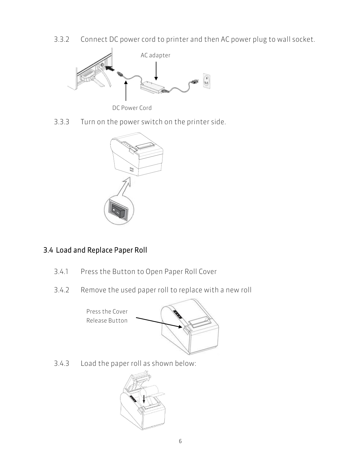3.3.2 Connect DC power cord to printer and then AC power plug to wall socket.



3.3.3 Turn on the power switch on the printer side.



## <span id="page-6-0"></span>3.4 Load and Replace Paper Roll

- 3.4.1 Press the Button to Open Paper Roll Cover
- 3.4.2 Remove the used paper roll to replace with a new roll

Press the Cover Release Button



3.4.3 Load the paper roll as shown below:

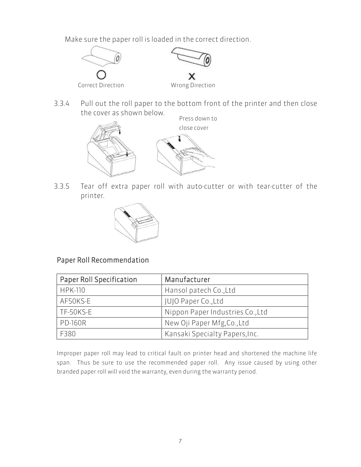Make sure the paper roll is loaded in the correct direction.



3.3.4 Pull out the roll paper to the bottom front of the printer and then close the cover as shown below.



3.3.5 Tear off extra paper roll with auto-cutter or with tear-cutter of the printer.



### Paper Roll Recommendation

| Paper Roll Specification | Manufacturer                     |  |
|--------------------------|----------------------------------|--|
| <b>HPK-110</b>           | Hansol patech Co., Ltd           |  |
| AF50KS-E                 | JUJO Paper Co., Ltd              |  |
| TF-50KS-E                | Nippon Paper Industries Co., Ltd |  |
| <b>PD-160R</b>           | New Oji Paper Mfg, Co., Ltd      |  |
| F380                     | Kansaki Specialty Papers, Inc.   |  |

Improper paper roll may lead to critical fault on printer head and shortened the machine life span. Thus be sure to use the recommended paper roll. Any issue caused by using other branded paper roll will void the warranty, even during the warranty period.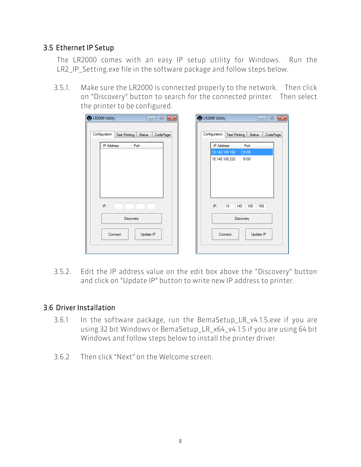### <span id="page-8-0"></span>3.5 Ethernet IP Setup

The LR2000 comes with an easy IP setup utility for Windows. Run the LR2\_IP\_Setting.exe file in the software package and follow steps below.

3.5.1. Make sure the LR2000 is connected properly to the network. Then click on "Discovery" button to search for the connected printer. Then select the printer to be configured.

| 통 LR2000 Utility<br>$\mathbf{x}$<br>$\qquad \qquad \Box$<br>- 1                                                               | 톱 LR2000 Utility<br>$\Box$<br>$-x$<br>- 1                                                                                                                                                                           |
|-------------------------------------------------------------------------------------------------------------------------------|---------------------------------------------------------------------------------------------------------------------------------------------------------------------------------------------------------------------|
| Configuration<br>Text Printing<br>CodePage<br>Status<br><b>IP Address</b><br>Port<br>IP:<br>Discovery<br>Update IP<br>Connect | Configuration<br><b>Text Printing</b><br>CodePage<br>Status<br><b>IP Address</b><br>Port<br>10.140.100.168<br>9100<br>10.140.100.232<br>9100<br>IP:<br>10<br>140<br>100<br>168<br>Discovery<br>Connect<br>Update IP |
|                                                                                                                               |                                                                                                                                                                                                                     |

3.5.2. Edit the IP address value on the edit box above the "Discovery" button and click on "Update IP" button to write new IP address to printer.

#### <span id="page-8-1"></span>3.6 Driver Installation

- 3.6.1 In the software package, run the BemaSetup\_LR\_v4.1.5.exe if you are using 32 bit Windows or BemaSetup\_LR\_x64\_v4.1.5 if you are using 64 bit Windows and follow steps below to install the printer driver.
- 3.6.2 Then click "Next" on the Welcome screen.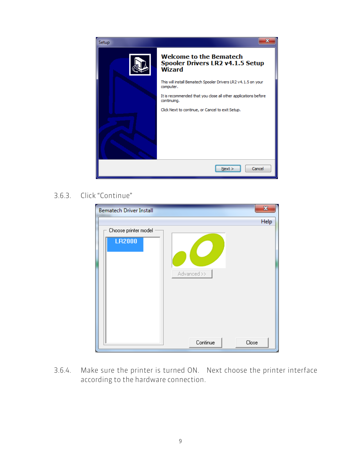

### 3.6.3. Click "Continue"

| <b>Bematech Driver Install</b> | $\mathbf{x}$ |
|--------------------------------|--------------|
|                                | Help         |
| Choose printer model           |              |
| <b>LR2000</b>                  |              |
|                                |              |
|                                |              |
| Advanced >>                    |              |
|                                |              |
|                                |              |
|                                |              |
|                                |              |
|                                |              |
| Continue                       | Close        |

3.6.4. Make sure the printer is turned ON. Next choose the printer interface according to the hardware connection.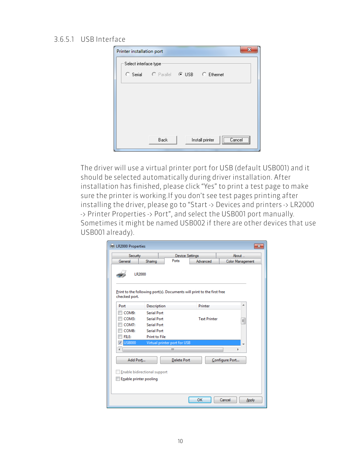#### 3.6.5.1 USB Interface

| х<br>Printer installation port |                                      |  |                 |        |  |
|--------------------------------|--------------------------------------|--|-----------------|--------|--|
| Select interface type          |                                      |  |                 |        |  |
|                                | C Serial C Parallel C USB C Ethernet |  |                 |        |  |
|                                |                                      |  |                 |        |  |
|                                |                                      |  |                 |        |  |
|                                |                                      |  |                 |        |  |
|                                |                                      |  |                 |        |  |
|                                |                                      |  |                 |        |  |
|                                | Back                                 |  | Install printer | Cancel |  |

The driver will use a virtual printer port for USB (default USB001) and it should be selected automatically during driver installation. After installation has finished, please click "Yes" to print a test page to make sure the printer is working.If you don't see test pages printing after installing the driver, please go to "Start -> Devices and printers -> LR2000 -> Printer Properties -> Port", and select the USB001 port manually. Sometimes it might be named USB002 if there are other devices that use USB001 already).

| <b>Geb LR2000 Properties</b>                           |                                                                        |                        |                     |                  |
|--------------------------------------------------------|------------------------------------------------------------------------|------------------------|---------------------|------------------|
| Security                                               |                                                                        | <b>Device Settings</b> |                     | About            |
| General                                                | Sharing                                                                | Ports                  | Advanced            | Color Management |
| LR2000                                                 |                                                                        |                        |                     |                  |
| checked port.                                          | Print to the following port(s). Documents will print to the first free |                        |                     |                  |
| Port                                                   | Description                                                            |                        | Printer             | ▴                |
| COM9:                                                  | <b>Serial Port</b>                                                     |                        |                     |                  |
| COM3:                                                  | <b>Serial Port</b>                                                     |                        | <b>Text Printer</b> | 틔                |
| COM7:                                                  | <b>Serial Port</b>                                                     |                        |                     |                  |
| COM8:                                                  | <b>Serial Port</b>                                                     |                        |                     |                  |
| FILE:                                                  | <b>Print to File</b>                                                   |                        |                     |                  |
| <b>USB000</b><br>V                                     | Virtual printer port for USB                                           |                        |                     |                  |
|                                                        |                                                                        | m.                     |                     | Þ                |
| Add Port                                               |                                                                        | <b>Delete Port</b>     |                     | Configure Port   |
| Enable bidirectional support<br>Enable printer pooling |                                                                        |                        |                     |                  |
|                                                        |                                                                        |                        |                     |                  |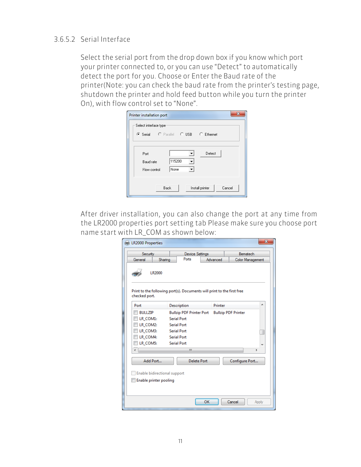#### 3.6.5.2 Serial Interface

Select the serial port from the drop down box if you know which port your printer connected to, or you can use "Detect" to automatically detect the port for you. Choose or Enter the Baud rate of the printer(Note: you can check the baud rate from the printer's testing page, shutdown the printer and hold feed button while you turn the printer On), with flow control set to "None".

| $\overline{\mathbf{x}}$<br>Printer installation port |  |  |  |  |
|------------------------------------------------------|--|--|--|--|
| Select interface type                                |  |  |  |  |
| C Serial C Parallel C USB C Ethernet                 |  |  |  |  |
|                                                      |  |  |  |  |
| Detect<br>Port                                       |  |  |  |  |
| 115200<br><b>Baud rate</b>                           |  |  |  |  |
| None<br>Flow control<br>▼                            |  |  |  |  |
|                                                      |  |  |  |  |
| Cancel<br>Back<br>Install printer                    |  |  |  |  |
|                                                      |  |  |  |  |

After driver installation, you can also change the port at any time from the LR2000 properties port setting tab Please make sure you choose port name start with LR\_COM as shown below:

| <b>Em</b> LR2000 Properties                            |                                                                        |          | X                          |  |  |
|--------------------------------------------------------|------------------------------------------------------------------------|----------|----------------------------|--|--|
| Security                                               | <b>Device Settings</b>                                                 |          | Bematech                   |  |  |
| General<br>Sharing                                     | Ports                                                                  | Advanced | <b>Color Management</b>    |  |  |
| LR2000                                                 |                                                                        |          |                            |  |  |
| checked port.                                          | Print to the following port(s). Documents will print to the first free |          |                            |  |  |
| Port                                                   | Description                                                            | Printer  | ▲                          |  |  |
| <b>BULLZIP</b>                                         | <b>Bullzip PDF Printer Port</b>                                        |          | <b>Bullzip PDF Printer</b> |  |  |
| LR_COM1:                                               | <b>Serial Port</b>                                                     |          |                            |  |  |
| LR COM2:                                               | <b>Serial Port</b>                                                     |          |                            |  |  |
| LR COM3:                                               | <b>Serial Port</b>                                                     |          |                            |  |  |
| LR_COM4:                                               | <b>Serial Port</b>                                                     |          |                            |  |  |
| LR COM5:                                               | <b>Serial Port</b>                                                     |          |                            |  |  |
|                                                        | Ш                                                                      |          | þ                          |  |  |
|                                                        |                                                                        |          |                            |  |  |
| Add Port                                               | <b>Delete Port</b>                                                     |          | Configure Port             |  |  |
| Enable bidirectional support<br>Enable printer pooling |                                                                        |          |                            |  |  |
|                                                        |                                                                        | OK       | Cancel<br>Apply            |  |  |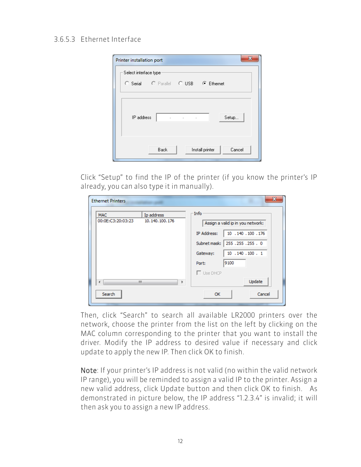#### 3.6.5.3 Ethernet Interface

| Printer installation port                              |  |  |  |  |  |  |
|--------------------------------------------------------|--|--|--|--|--|--|
| Select interface type:                                 |  |  |  |  |  |  |
|                                                        |  |  |  |  |  |  |
|                                                        |  |  |  |  |  |  |
| IP address<br>Setup<br><b>All Contracts</b><br>à,<br>٠ |  |  |  |  |  |  |
| Cancel<br>Back<br>Install printer                      |  |  |  |  |  |  |

Click "Setup" to find the IP of the printer (if you know the printer's IP already, you can also type it in manually).

| <b>Ethernet Printers</b>        |                              |                                                           |      |                                                                                             | $\mathbf{x}$ |
|---------------------------------|------------------------------|-----------------------------------------------------------|------|---------------------------------------------------------------------------------------------|--------------|
| <b>MAC</b><br>00:0E:C3:20:03:23 | Ip address<br>10.140.100.176 | -Info<br>IP Address:<br>Subnet mask:<br>Gateway:<br>Port: | 9100 | Assign a valid ip in you network:<br>10 .140 .100 .176<br>255.255.255.0<br>10 .140 .100 . 1 |              |
| ∢<br>Search                     | Ш<br>Þ                       | $\Box$ Use DHCP<br><b>OK</b>                              |      | Update<br>Cancel                                                                            |              |

Then, click "Search" to search all available LR2000 printers over the network, choose the printer from the list on the left by clicking on the MAC column corresponding to the printer that you want to install the driver. Modify the IP address to desired value if necessary and click update to apply the new IP. Then click OK to finish.

Note: If your printer's IP address is not valid (no within the valid network IP range), you will be reminded to assign a valid IP to the printer. Assign a new valid address, click Update button and then click OK to finish. As demonstrated in picture below, the IP address "1.2.3.4" is invalid; it will then ask you to assign a new IP address.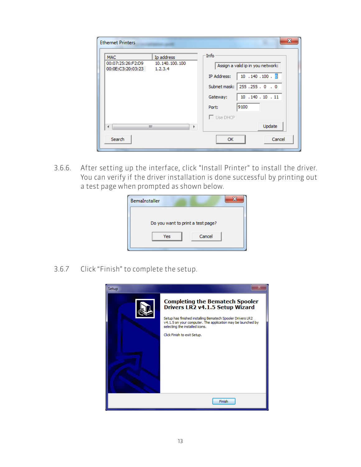| <b>Ethernet Printers</b>                                                                           | x                                                                                                                                                                                                |
|----------------------------------------------------------------------------------------------------|--------------------------------------------------------------------------------------------------------------------------------------------------------------------------------------------------|
| <b>MAC</b><br>Ip address<br>00:07:25:26:F2:D9<br>10.140.100.100<br>00:0E:C3:20:03:23<br>1, 2, 3, 4 | -Info<br>Assign a valid ip in you network:<br>$10$ . $140$ . $100$ . 0<br><b>IP Address:</b><br>255.255.0.0<br>Subnet mask:  <br>10 .140 .10 .11<br>Gateway:<br>9100<br>Port:<br>$\Box$ Use DHCP |
| m<br>∢<br>k<br>Search                                                                              | Update<br>Cancel<br><b>OK</b>                                                                                                                                                                    |

3.6.6. After setting up the interface, click "Install Printer" to install the driver. You can verify if the driver installation is done successful by printing out a test page when prompted as shown below.

| BemaInstaller |                                   |
|---------------|-----------------------------------|
|               |                                   |
|               | Do you want to print a test page? |
| Yes           | Cancel                            |
|               |                                   |

3.6.7 Click "Finish" to complete the setup.

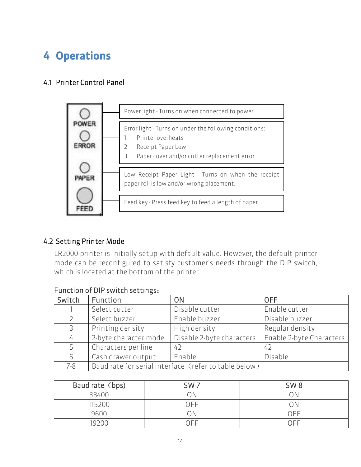# <span id="page-14-0"></span>4 Operations

## <span id="page-14-1"></span>4.1 Printer Control Panel



## <span id="page-14-2"></span>4.2 Setting Printer Mode

LR2000 printer is initially setup with default value. However, the default printer mode can be reconfigured to satisfy customer's needs through the DIP switch, which is located at the bottom of the printer.

| Switch  | Function                                              | <b>ON</b>                 | <b>OFF</b>               |
|---------|-------------------------------------------------------|---------------------------|--------------------------|
|         | Select cutter                                         | Disable cutter            | Enable cutter            |
|         | Select buzzer                                         | Enable buzzer             | Disable buzzer           |
| 3       | Printing density                                      | High density              | Regular density          |
| 4       | 2-byte character mode                                 | Disable 2-byte characters | Enable 2-byte Characters |
| 5       | Characters per line                                   | 42                        | 42                       |
| 6       | Cash drawer output                                    | Enable                    | Disable                  |
| $7 - 8$ | Baud rate for serial interface (refer to table below) |                           |                          |

#### Function of DIP switch settings:

| Baud rate (bps) | $SW-7$ | $SW-8$ |
|-----------------|--------|--------|
| 38400           |        |        |
| 115200          | NFF    |        |
| 9600            |        | OFF    |
| 19700           |        | ∩FF    |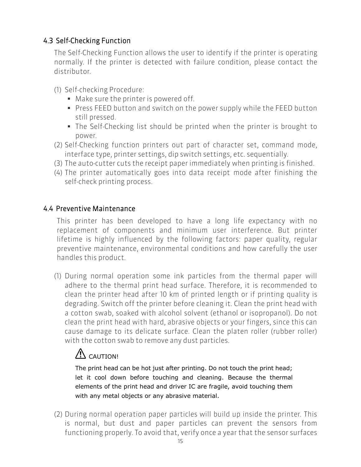## <span id="page-15-0"></span>4.3 Self-Checking Function

The Self-Checking Function allows the user to identify if the printer is operating normally. If the printer is detected with failure condition, please contact the distributor.

- (1) Self-checking Procedure:
	- Make sure the printer is powered off.
	- **Press FEED button and switch on the power supply while the FEED button** still pressed.
	- The Self-Checking list should be printed when the printer is brought to power.
- (2) Self-Checking function printers out part of character set, command mode, interface type, printer settings, dip switch settings, etc. sequentially.
- (3) The auto-cutter cuts the receipt paper immediately when printing is finished.
- (4) The printer automatically goes into data receipt mode after finishing the self-check printing process.

#### <span id="page-15-1"></span>4.4 Preventive Maintenance

This printer has been developed to have a long life expectancy with no replacement of components and minimum user interference. But printer lifetime is highly influenced by the following factors: paper quality, regular preventive maintenance, environmental conditions and how carefully the user handles this product.

(1) During normal operation some ink particles from the thermal paper will adhere to the thermal print head surface. Therefore, it is recommended to clean the printer head after 10 km of printed length or if printing quality is degrading. Switch off the printer before cleaning it. Clean the print head with a cotton swab, soaked with alcohol solvent (ethanol or isopropanol). Do not clean the print head with hard, abrasive objects or your fingers, since this can cause damage to its delicate surface. Clean the platen roller (rubber roller) with the cotton swab to remove any dust particles.

## $\overline{\mathcal{L}}$  CAUTION!

The print head can be hot just after printing. Do not touch the print head; let it cool down before touching and cleaning. Because the thermal elements of the print head and driver IC are fragile, avoid touching them with any metal objects or any abrasive material.

(2) During normal operation paper particles will build up inside the printer. This is normal, but dust and paper particles can prevent the sensors from functioning properly. To avoid that, verify once a year that the sensor surfaces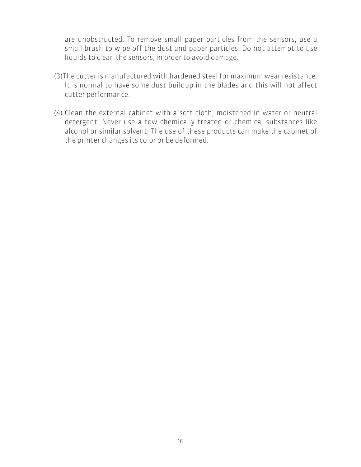are unobstructed. To remove small paper particles from the sensors, use a small brush to wipe off the dust and paper particles. Do not attempt to use liquids to clean the sensors, in order to avoid damage.

- (3)The cutter is manufactured with hardened steel for maximum wear resistance. It is normal to have some dust buildup in the blades and this will not affect cutter performance.
- (4) Clean the external cabinet with a soft cloth, moistened in water or neutral detergent. Never use a tow chemically treated or chemical substances like alcohol or similar solvent. The use of these products can make the cabinet of the printer changes its color or be deformed.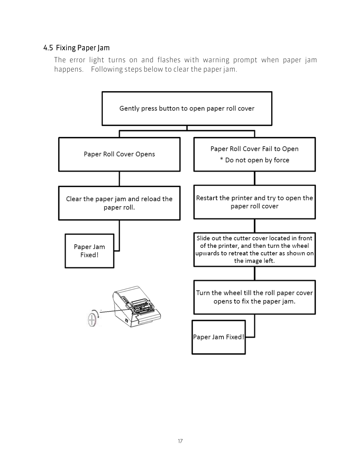## <span id="page-17-0"></span>4.5 Fixing Paper Jam

The error light turns on and flashes with warning prompt when paper jam happens. Following steps below to clear the paper jam.

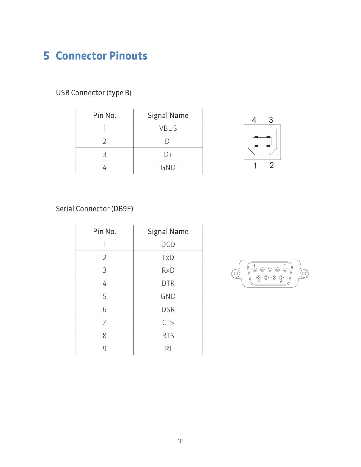## <span id="page-18-0"></span>5 Connector Pinouts

## USB Connector (type B)

| Pin No. | <b>Signal Name</b> |
|---------|--------------------|
|         | <b>VBUS</b>        |
|         | $\vert$ ).         |
| २       | D+                 |
|         | GND                |



## Serial Connector (DB9F)

| Pin No.        | <b>Signal Name</b> |
|----------------|--------------------|
|                | <b>DCD</b>         |
| $\overline{2}$ | TxD                |
| 3              | <b>RxD</b>         |
| 4              | <b>DTR</b>         |
| 5              | <b>GND</b>         |
| 6              | <b>DSR</b>         |
| 7              | <b>CTS</b>         |
| 8              | <b>RTS</b>         |
| q              | RI                 |

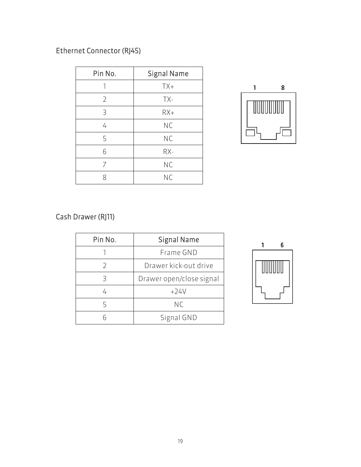## Ethernet Connector (RJ45)

| Pin No. | <b>Signal Name</b> |
|---------|--------------------|
| 1       | $TX+$              |
| 2       | TX-                |
| 3       | $RX+$              |
| 4       | <b>NC</b>          |
| 5       | <b>NC</b>          |
| 6       | RX-                |
| 7       | <b>NC</b>          |
| 8       | <b>NC</b>          |



## Cash Drawer (RJ11)

| Pin No. | <b>Signal Name</b>       |
|---------|--------------------------|
|         | Frame GND                |
| D       | Drawer kick-out drive    |
| Ρ       | Drawer open/close signal |
|         | $+24V$                   |
| 5       | <b>NC</b>                |
|         | Signal GND               |

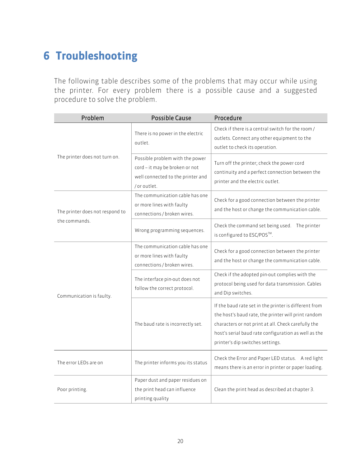## <span id="page-20-0"></span>6 Troubleshooting

The following table describes some of the problems that may occur while using the printer. For every problem there is a possible cause and a suggested procedure to solve the problem.

| Problem                         | <b>Possible Cause</b>                                                                                                 | Procedure                                                                                                                                                                                                                                                       |
|---------------------------------|-----------------------------------------------------------------------------------------------------------------------|-----------------------------------------------------------------------------------------------------------------------------------------------------------------------------------------------------------------------------------------------------------------|
|                                 | There is no power in the electric<br>outlet.                                                                          | Check if there is a central switch for the room /<br>outlets. Connect any other equipment to the<br>outlet to check its operation.                                                                                                                              |
| The printer does not turn on.   | Possible problem with the power<br>cord - it may be broken or not<br>well connected to the printer and<br>/or outlet. | Turn off the printer; check the power cord<br>continuity and a perfect connection between the<br>printer and the electric outlet.                                                                                                                               |
| The printer does not respond to | The communication cable has one<br>or more lines with faulty<br>connections / broken wires.                           | Check for a good connection between the printer<br>and the host or change the communication cable.                                                                                                                                                              |
| the commands.                   | Wrong programming sequences.                                                                                          | Check the command set being used. The printer<br>is configured to ESC/POS™.                                                                                                                                                                                     |
|                                 | The communication cable has one<br>or more lines with faulty<br>connections / broken wires.                           | Check for a good connection between the printer<br>and the host or change the communication cable.                                                                                                                                                              |
| Communication is faulty.        | The interface pin-out does not<br>follow the correct protocol.                                                        | Check if the adopted pin-out complies with the<br>protocol being used for data transmission. Cables<br>and Dip switches.                                                                                                                                        |
|                                 | The baud rate is incorrectly set.                                                                                     | If the baud rate set in the printer is different from<br>the host's baud rate, the printer will print random<br>characters or not print at all. Check carefully the<br>host's serial baud rate configuration as well as the<br>printer's dip switches settings. |
| The error LEDs are on           | The printer informs you its status                                                                                    | Check the Error and Paper LED status. A red light<br>means there is an error in printer or paper loading.                                                                                                                                                       |
| Poor printing.                  | Paper dust and paper residues on<br>the print head can influence<br>printing quality                                  | Clean the print head as described at chapter 3.                                                                                                                                                                                                                 |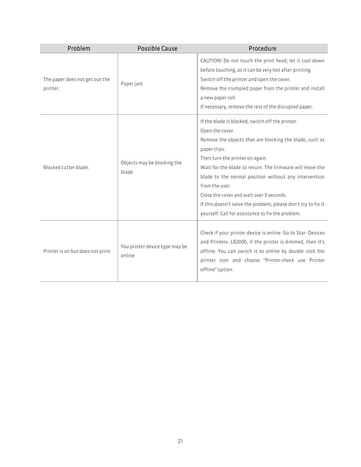| Problem                                    | <b>Possible Cause</b>                    | Procedure                                                                                                                                                                                                                                                                                                                                                                                                                                                                                  |
|--------------------------------------------|------------------------------------------|--------------------------------------------------------------------------------------------------------------------------------------------------------------------------------------------------------------------------------------------------------------------------------------------------------------------------------------------------------------------------------------------------------------------------------------------------------------------------------------------|
| The paper does not get out the<br>printer. | Paper jam                                | CAUTION! Do not touch the print head; let it cool down<br>before touching, as it can be very hot after printing.<br>Switch off the printer and open the cover.<br>Remove the crumpled paper from the printer and install<br>a new paper roll.<br>If necessary, remove the rest of the disrupted paper.                                                                                                                                                                                     |
| Blocked cutter blade.                      | Objects may be blocking the<br>blade     | If the blade is blocked, switch off the printer.<br>Open the cover.<br>Remove the objects that are blocking the blade, such as<br>paper clips.<br>Then turn the printer on again.<br>Wait for the blade to return. The firmware will move the<br>blade to the normal position without any intervention<br>from the user.<br>Close the cover and wait over 3 seconds.<br>If this doesn't solve the problem, please don't try to fix it<br>yourself. Call for assistance to fix the problem. |
| Printer is on but does not print           | You printer device type may be<br>online | Check if your printer device is online: Go to Star- Devices<br>and Printers-LR2000, if the printer is dimmed, then it's<br>offline. You can switch it to online by double click the<br>printer icon and choose "Printer-check use Printer<br>offline" option.                                                                                                                                                                                                                              |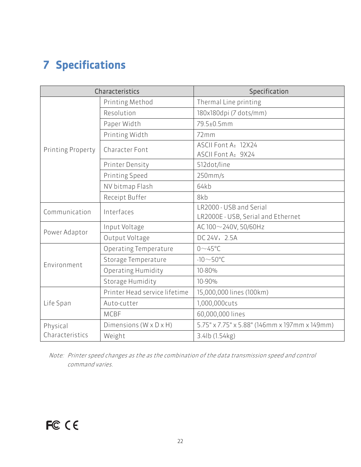# <span id="page-22-0"></span>7 Specifications

| Characteristics   |                               | Specification                                                 |  |
|-------------------|-------------------------------|---------------------------------------------------------------|--|
|                   | Printing Method               | Thermal Line printing                                         |  |
|                   | Resolution                    | 180x180dpi (7 dots/mm)                                        |  |
|                   | Paper Width                   | 79.5±0.5mm                                                    |  |
|                   | Printing Width                | 72mm                                                          |  |
| Printing Property | Character Font                | ASCII Font A: 12X24<br>ASCII Font A: 9X24                     |  |
|                   | <b>Printer Density</b>        | 512dot/line                                                   |  |
|                   | Printing Speed                | $250$ mm/s                                                    |  |
|                   | NV bitmap Flash               | 64kb                                                          |  |
|                   | Receipt Buffer                | 8kb                                                           |  |
| Communication     | Interfaces                    | LR2000 - USB and Serial<br>LR2000E - USB, Serial and Ethernet |  |
|                   | Input Voltage                 | AC 100~240V, 50/60Hz                                          |  |
| Power Adaptor     | Output Voltage                | DC 24V, 2.5A                                                  |  |
|                   | Operating Temperature         | $0\nightharpoonup$ 45°C                                       |  |
| Environment       | Storage Temperature           | $-10\sim$ 50°C                                                |  |
|                   | Operating Humidity            | 10-80%                                                        |  |
|                   | Storage Humidity              | 10-90%                                                        |  |
| Life Span         | Printer Head service lifetime | 15,000,000 lines (100km)                                      |  |
|                   | Auto-cutter                   | 1,000,000cuts                                                 |  |
|                   | <b>MCBF</b>                   | 60,000,000 lines                                              |  |
| Physical          | Dimensions (W x D x H)        | 5.75" x 7.75" x 5.88" (146mm x 197mm x 149mm)                 |  |
| Characteristics   | Weight                        | 3.4lb (1.54kg)                                                |  |

Note: Printer speed changes as the as the combination of the data transmission speed and control command varies.